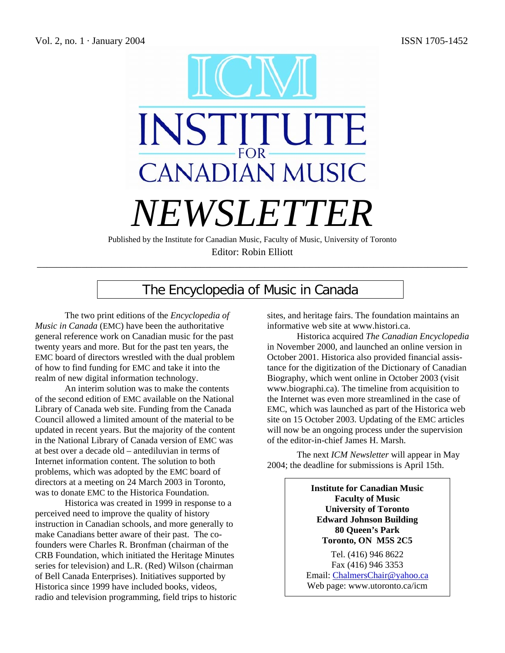

Published by the Institute for Canadian Music, Faculty of Music, University of Toronto Editor: Robin Elliott \_\_\_\_\_\_\_\_\_\_\_\_\_\_\_\_\_\_\_\_\_\_\_\_\_\_\_\_\_\_\_\_\_\_\_\_\_\_\_\_\_\_\_\_\_\_\_\_\_\_\_\_\_\_\_\_\_\_\_\_\_\_\_\_\_\_\_\_\_\_\_\_\_\_\_\_\_\_\_\_\_\_\_\_\_\_\_

# The Encyclopedia of Music in Canada

The two print editions of the *Encyclopedia of Music in Canada* (EMC) have been the authoritative general reference work on Canadian music for the past twenty years and more. But for the past ten years, the EMC board of directors wrestled with the dual problem of how to find funding for EMC and take it into the realm of new digital information technology.

An interim solution was to make the contents of the second edition of EMC available on the National Library of Canada web site. Funding from the Canada Council allowed a limited amount of the material to be updated in recent years. But the majority of the content in the National Library of Canada version of EMC was at best over a decade old – antediluvian in terms of Internet information content. The solution to both problems, which was adopted by the EMC board of directors at a meeting on 24 March 2003 in Toronto, was to donate EMC to the Historica Foundation.

Historica was created in 1999 in response to a perceived need to improve the quality of history instruction in Canadian schools, and more generally to make Canadians better aware of their past. The cofounders were Charles R. Bronfman (chairman of the CRB Foundation, which initiated the Heritage Minutes series for television) and L.R. (Red) Wilson (chairman of Bell Canada Enterprises). Initiatives supported by Historica since 1999 have included books, videos, radio and television programming, field trips to historic sites, and heritage fairs. The foundation maintains an informative web site at www.histori.ca.

Historica acquired *The Canadian Encyclopedia*  in November 2000, and launched an online version in October 2001. Historica also provided financial assistance for the digitization of the Dictionary of Canadian Biography, which went online in October 2003 (visit www.biographi.ca). The timeline from acquisition to the Internet was even more streamlined in the case of EMC, which was launched as part of the Historica web site on 15 October 2003. Updating of the EMC articles will now be an ongoing process under the supervision of the editor-in-chief James H. Marsh.

The next *ICM Newsletter* will appear in May 2004; the deadline for submissions is April 15th.

> **Institute for Canadian Music Faculty of Music University of Toronto Edward Johnson Building 80 Queen's Park Toronto, ON M5S 2C5**

Tel. (416) 946 8622 Fax (416) 946 3353 Email: ChalmersChair@yahoo.ca Web page: www.utoronto.ca/icm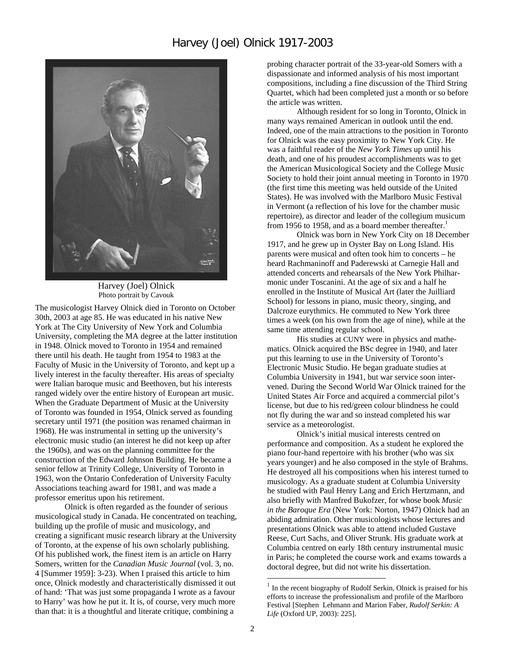### Harvey (Joel) Olnick 1917-2003



Harvey (Joel) Olnick Photo portrait by Cavouk

The musicologist Harvey Olnick died in Toronto on October 30th, 2003 at age 85. He was educated in his native New York at The City University of New York and Columbia University, completing the MA degree at the latter institution in 1948. Olnick moved to Toronto in 1954 and remained there until his death. He taught from 1954 to 1983 at the Faculty of Music in the University of Toronto, and kept up a lively interest in the faculty thereafter. His areas of specialty were Italian baroque music and Beethoven, but his interests ranged widely over the entire history of European art music. When the Graduate Department of Music at the University of Toronto was founded in 1954, Olnick served as founding secretary until 1971 (the position was renamed chairman in 1968). He was instrumental in setting up the university's electronic music studio (an interest he did not keep up after the 1960s), and was on the planning committee for the construction of the Edward Johnson Building. He became a senior fellow at Trinity College, University of Toronto in 1963, won the Ontario Confederation of University Faculty Associations teaching award for 1981, and was made a professor emeritus upon his retirement.

Olnick is often regarded as the founder of serious musicological study in Canada. He concentrated on teaching, building up the profile of music and musicology, and creating a significant music research library at the University of Toronto, at the expense of his own scholarly publishing. Of his published work, the finest item is an article on Harry Somers, written for the *Canadian Music Journal* (vol. 3, no. 4 [Summer 1959]: 3-23). When I praised this article to him once, Olnick modestly and characteristically dismissed it out of hand: 'That was just some propaganda I wrote as a favour to Harry' was how he put it. It is, of course, very much more than that: it is a thoughtful and literate critique, combining a

probing character portrait of the 33-year-old Somers with a dispassionate and informed analysis of his most important compositions, including a fine discussion of the Third String Quartet, which had been completed just a month or so before the article was written.

Although resident for so long in Toronto, Olnick in many ways remained American in outlook until the end. Indeed, one of the main attractions to the position in Toronto for Olnick was the easy proximity to New York City. He was a faithful reader of the *New York Times* up until his death, and one of his proudest accomplishments was to get the American Musicological Society and the College Music Society to hold their joint annual meeting in Toronto in 1970 (the first time this meeting was held outside of the United States). He was involved with the Marlboro Music Festival in Vermont (a reflection of his love for the chamber music repertoire), as director and leader of the collegium musicum from 1956 to 1958, and as a board member thereafter.<sup>1</sup>

Olnick was born in New York City on 18 December 1917, and he grew up in Oyster Bay on Long Island. His parents were musical and often took him to concerts – he heard Rachmaninoff and Paderewski at Carnegie Hall and attended concerts and rehearsals of the New York Philharmonic under Toscanini. At the age of six and a half he enrolled in the Institute of Musical Art (later the Juilliard School) for lessons in piano, music theory, singing, and Dalcroze eurythmics. He commuted to New York three times a week (on his own from the age of nine), while at the same time attending regular school.

His studies at CUNY were in physics and mathematics. Olnick acquired the BSc degree in 1940, and later put this learning to use in the University of Toronto's Electronic Music Studio. He began graduate studies at Columbia University in 1941, but war service soon intervened. During the Second World War Olnick trained for the United States Air Force and acquired a commercial pilot's license, but due to his red/green colour blindness he could not fly during the war and so instead completed his war service as a meteorologist.

Olnick's initial musical interests centred on performance and composition. As a student he explored the piano four-hand repertoire with his brother (who was six years younger) and he also composed in the style of Brahms. He destroyed all his compositions when his interest turned to musicology. As a graduate student at Columbia University he studied with Paul Henry Lang and Erich Hertzmann, and also briefly with Manfred Bukofzer, for whose book *Music in the Baroque Era* (New York: Norton, 1947) Olnick had an abiding admiration. Other musicologists whose lectures and presentations Olnick was able to attend included Gustave Reese, Curt Sachs, and Oliver Strunk. His graduate work at Columbia centred on early 18th century instrumental music in Paris; he completed the course work and exams towards a doctoral degree, but did not write his dissertation.

 $1$  In the recent biography of Rudolf Serkin, Olnick is praised for his efforts to increase the professionalism and profile of the Marlboro Festival [Stephen Lehmann and Marion Faber, *Rudolf Serkin: A Life* (Oxford UP, 2003): 225].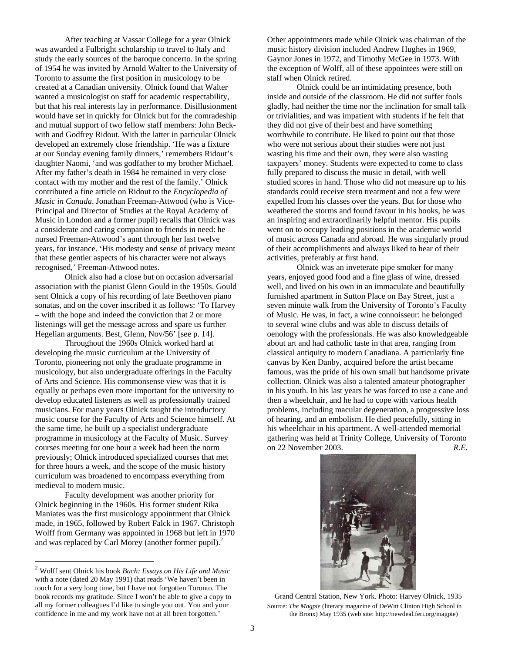After teaching at Vassar College for a year Olnick was awarded a Fulbright scholarship to travel to Italy and study the early sources of the baroque concerto. In the spring of 1954 he was invited by Arnold Walter to the University of Toronto to assume the first position in musicology to be created at a Canadian university. Olnick found that Walter wanted a musicologist on staff for academic respectability, but that his real interests lay in performance. Disillusionment would have set in quickly for Olnick but for the comradeship and mutual support of two fellow staff members: John Beckwith and Godfrey Ridout. With the latter in particular Olnick developed an extremely close friendship. 'He was a fixture at our Sunday evening family dinners,' remembers Ridout's daughter Naomi, 'and was godfather to my brother Michael. After my father's death in 1984 he remained in very close contact with my mother and the rest of the family.' Olnick contributed a fine article on Ridout to the *Encyclopedia of Music in Canada*. Jonathan Freeman-Attwood (who is Vice-Principal and Director of Studies at the Royal Academy of Music in London and a former pupil) recalls that Olnick was a considerate and caring companion to friends in need: he nursed Freeman-Attwood's aunt through her last twelve years, for instance. 'His modesty and sense of privacy meant that these gentler aspects of his character were not always recognised,' Freeman-Attwood notes.

Olnick also had a close but on occasion adversarial association with the pianist Glenn Gould in the 1950s. Gould sent Olnick a copy of his recording of late Beethoven piano sonatas, and on the cover inscribed it as follows: 'To Harvey – with the hope and indeed the conviction that 2 or more listenings will get the message across and spare us further Hegelian arguments. Best, Glenn, Nov/56' [see p. 14].

Throughout the 1960s Olnick worked hard at developing the music curriculum at the University of Toronto, pioneering not only the graduate programme in musicology, but also undergraduate offerings in the Faculty of Arts and Science. His commonsense view was that it is equally or perhaps even more important for the university to develop educated listeners as well as professionally trained musicians. For many years Olnick taught the introductory music course for the Faculty of Arts and Science himself. At the same time, he built up a specialist undergraduate programme in musicology at the Faculty of Music. Survey courses meeting for one hour a week had been the norm previously; Olnick introduced specialized courses that met for three hours a week, and the scope of the music history curriculum was broadened to encompass everything from medieval to modern music.

Faculty development was another priority for Olnick beginning in the 1960s. His former student Rika Maniates was the first musicology appointment that Olnick made, in 1965, followed by Robert Falck in 1967. Christoph Wolff from Germany was appointed in 1968 but left in 1970 and was replaced by Carl Morey (another former pupil). $^{2}$ 

 $\overline{a}$ 

Other appointments made while Olnick was chairman of the music history division included Andrew Hughes in 1969, Gaynor Jones in 1972, and Timothy McGee in 1973. With the exception of Wolff, all of these appointees were still on staff when Olnick retired.

Olnick could be an intimidating presence, both inside and outside of the classroom. He did not suffer fools gladly, had neither the time nor the inclination for small talk or trivialities, and was impatient with students if he felt that they did not give of their best and have something worthwhile to contribute. He liked to point out that those who were not serious about their studies were not just wasting his time and their own, they were also wasting taxpayers' money. Students were expected to come to class fully prepared to discuss the music in detail, with well studied scores in hand. Those who did not measure up to his standards could receive stern treatment and not a few were expelled from his classes over the years. But for those who weathered the storms and found favour in his books, he was an inspiring and extraordinarily helpful mentor. His pupils went on to occupy leading positions in the academic world of music across Canada and abroad. He was singularly proud of their accomplishments and always liked to hear of their activities, preferably at first hand.

Olnick was an inveterate pipe smoker for many years, enjoyed good food and a fine glass of wine, dressed well, and lived on his own in an immaculate and beautifully furnished apartment in Sutton Place on Bay Street, just a seven minute walk from the University of Toronto's Faculty of Music. He was, in fact, a wine connoisseur: he belonged to several wine clubs and was able to discuss details of oenology with the professionals. He was also knowledgeable about art and had catholic taste in that area, ranging from classical antiquity to modern Canadiana. A particularly fine canvas by Ken Danby, acquired before the artist became famous, was the pride of his own small but handsome private collection. Olnick was also a talented amateur photographer in his youth. In his last years he was forced to use a cane and then a wheelchair, and he had to cope with various health problems, including macular degeneration, a progressive loss of hearing, and an embolism. He died peacefully, sitting in his wheelchair in his apartment. A well-attended memorial gathering was held at Trinity College, University of Toronto on 22 November 2003. *R.E.* 



Grand Central Station, New York. Photo: Harvey Olnick, 1935 Source: *The Magpie* (literary magazine of DeWitt Clinton High School in the Bronx) May 1935 (web site: http://newdeal.feri.org/magpie)

<sup>2</sup> Wolff sent Olnick his book *Bach: Essays on His Life and Music* with a note (dated 20 May 1991) that reads 'We haven't been in touch for a very long time, but I have not forgotten Toronto. The book records my gratitude. Since I won't be able to give a copy to all my former colleagues I'd like to single you out. You and your confidence in me and my work have not at all been forgotten.'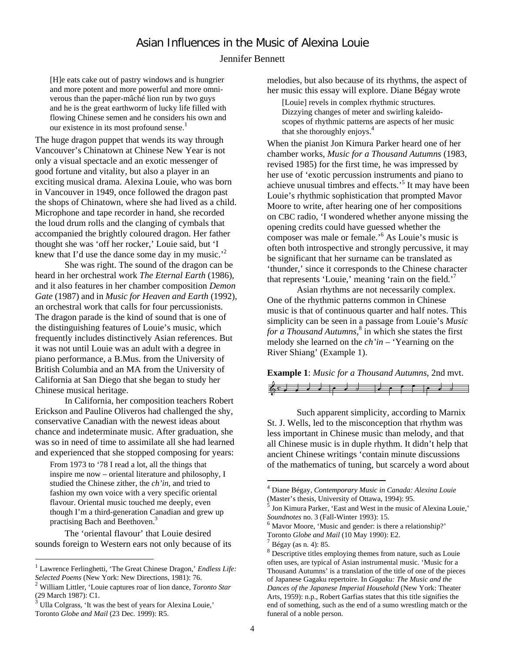# Asian Influences in the Music of Alexina Louie

#### Jennifer Bennett

[H]e eats cake out of pastry windows and is hungrier and more potent and more powerful and more omniverous than the paper-mâché lion run by two guys and he is the great earthworm of lucky life filled with flowing Chinese semen and he considers his own and our existence in its most profound sense.<sup>1</sup>

The huge dragon puppet that wends its way through Vancouver's Chinatown at Chinese New Year is not only a visual spectacle and an exotic messenger of good fortune and vitality, but also a player in an exciting musical drama. Alexina Louie, who was born in Vancouver in 1949, once followed the dragon past the shops of Chinatown, where she had lived as a child. Microphone and tape recorder in hand, she recorded the loud drum rolls and the clanging of cymbals that accompanied the brightly coloured dragon. Her father thought she was 'off her rocker,' Louie said, but 'I knew that I'd use the dance some day in my music.<sup>2</sup>

She was right. The sound of the dragon can be heard in her orchestral work *The Eternal Earth* (1986), and it also features in her chamber composition *Demon Gate* (1987) and in *Music for Heaven and Earth* (1992), an orchestral work that calls for four percussionists. The dragon parade is the kind of sound that is one of the distinguishing features of Louie's music, which frequently includes distinctively Asian references. But it was not until Louie was an adult with a degree in piano performance, a B.Mus. from the University of British Columbia and an MA from the University of California at San Diego that she began to study her Chinese musical heritage.

In California, her composition teachers Robert Erickson and Pauline Oliveros had challenged the shy, conservative Canadian with the newest ideas about chance and indeterminate music. After graduation, she was so in need of time to assimilate all she had learned and experienced that she stopped composing for years:

From 1973 to '78 I read a lot, all the things that inspire me now – oriental literature and philosophy, I studied the Chinese zither, the *ch'in,* and tried to fashion my own voice with a very specific oriental flavour. Oriental music touched me deeply, even though I'm a third-generation Canadian and grew up practising Bach and Beethoven. 3

The 'oriental flavour' that Louie desired sounds foreign to Western ears not only because of its

 $\overline{a}$ 

melodies, but also because of its rhythms, the aspect of her music this essay will explore. Diane Bégay wrote

[Louie] revels in complex rhythmic structures. Dizzying changes of meter and swirling kaleidoscopes of rhythmic patterns are aspects of her music that she thoroughly enjoys. 4

When the pianist Jon Kimura Parker heard one of her chamber works, *Music for a Thousand Autumns* (1983, revised 1985) for the first time, he was impressed by her use of 'exotic percussion instruments and piano to achieve unusual timbres and effects.<sup>5</sup> It may have been Louie's rhythmic sophistication that prompted Mavor Moore to write, after hearing one of her compositions on CBC radio, 'I wondered whether anyone missing the opening credits could have guessed whether the composer was male or female.'<sup>6</sup> As Louie's music is often both introspective and strongly percussive, it may be significant that her surname can be translated as 'thunder,' since it corresponds to the Chinese character that represents 'Louie,' meaning 'rain on the field.'7

Asian rhythms are not necessarily complex. One of the rhythmic patterns common in Chinese music is that of continuous quarter and half notes. This simplicity can be seen in a passage from Louie's *Music for a Thousand Autumns*, 8 in which she states the first melody she learned on the *ch'in* – 'Yearning on the River Shiang' (Example 1).

**Example 1**: *Music for a Thousand Autumns*, 2nd mvt.



Such apparent simplicity, according to Marnix St. J. Wells, led to the misconception that rhythm was less important in Chinese music than melody, and that all Chinese music is in duple rhythm. It didn't help that ancient Chinese writings 'contain minute discussions of the mathematics of tuning, but scarcely a word about

<sup>1</sup> Lawrence Ferlinghetti, 'The Great Chinese Dragon,' *Endless Life:* 

*Selected Poems* (New York: New Directions, 1981): 76. <sup>2</sup> William Littler, 'Louie captures roar of lion dance, *Toronto Star*

Ulla Colgrass, 'It was the best of years for Alexina Louie,' Toronto *Globe and Mail* (23 Dec. 1999): R5.

<sup>4</sup> Diane Bégay, *Contemporary Music in Canada: Alexina Louie*

Jon Kimura Parker, 'East and West in the music of Alexina Louie,' *Soundnotes* no. 3 (Fall-Winter 1993): 15.<br><sup>6</sup> Mavor Moore, 'Music and gender: is there a relationship?'

Toronto *Globe and Mail* (10 May 1990): E2. 7 Bégay (as n. 4): 85.

 $8$  Descriptive titles employing themes from nature, such as Louie often uses, are typical of Asian instrumental music. 'Music for a Thousand Autumns' is a translation of the title of one of the pieces of Japanese Gagaku repertoire. In *Gagaku: The Music and the Dances of the Japanese Imperial Household* (New York: Theater Arts, 1959): n.p., Robert Garfias states that this title signifies the end of something, such as the end of a sumo wrestling match or the funeral of a noble person.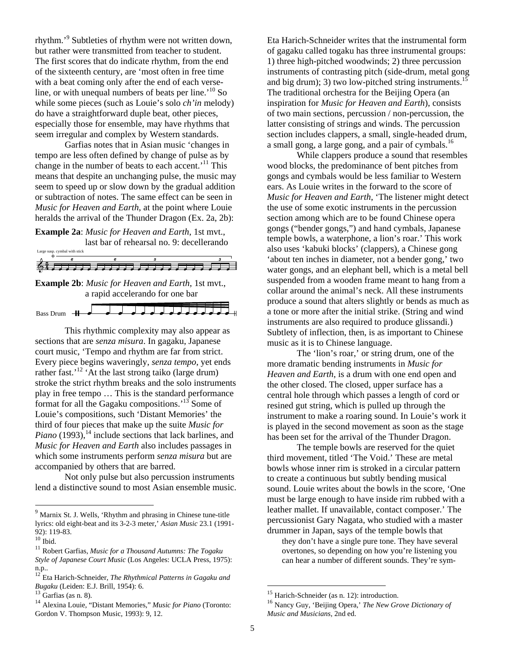rhythm.'9 Subtleties of rhythm were not written down, but rather were transmitted from teacher to student. The first scores that do indicate rhythm, from the end of the sixteenth century, are 'most often in free time with a beat coming only after the end of each verseline, or with unequal numbers of beats per line.<sup> $10$ </sup> So while some pieces (such as Louie's solo *ch'in* melody) do have a straightforward duple beat, other pieces, especially those for ensemble, may have rhythms that seem irregular and complex by Western standards.

Garfias notes that in Asian music 'changes in tempo are less often defined by change of pulse as by change in the number of beats to each accent.'11 This means that despite an unchanging pulse, the music may seem to speed up or slow down by the gradual addition or subtraction of notes. The same effect can be seen in *Music for Heaven and Earth*, at the point where Louie heralds the arrival of the Thunder Dragon (Ex. 2a, 2b):

**Example 2a**: *Music for Heaven and Earth*, 1st mvt., last bar of rehearsal no. 9: decellerando



a rapid accelerando for one bar

This rhythmic complexity may also appear as sections that are *senza misura*. In gagaku, Japanese court music, 'Tempo and rhythm are far from strict. Every piece begins waveringly, *senza tempo*, yet ends rather fast.<sup>12</sup> 'At the last strong taiko (large drum) stroke the strict rhythm breaks and the solo instruments play in free tempo … This is the standard performance format for all the Gagaku compositions.<sup> $13$ </sup> Some of Louie's compositions, such 'Distant Memories' the third of four pieces that make up the suite *Music for Piano* (1993),<sup>14</sup> include sections that lack barlines, and *Music for Heaven and Earth* also includes passages in which some instruments perform *senza misura* but are accompanied by others that are barred.

Not only pulse but also percussion instruments lend a distinctive sound to most Asian ensemble music.

 $\overline{a}$ 

Eta Harich-Schneider writes that the instrumental form of gagaku called togaku has three instrumental groups: 1) three high-pitched woodwinds; 2) three percussion instruments of contrasting pitch (side-drum, metal gong and big drum); 3) two low-pitched string instruments.<sup>15</sup> The traditional orchestra for the Beijing Opera (an inspiration for *Music for Heaven and Earth*), consists of two main sections, percussion / non-percussion, the latter consisting of strings and winds. The percussion section includes clappers, a small, single-headed drum, a small gong, a large gong, and a pair of cymbals.<sup>16</sup>

While clappers produce a sound that resembles wood blocks, the predominance of bent pitches from gongs and cymbals would be less familiar to Western ears. As Louie writes in the forward to the score of *Music for Heaven and Earth*, 'The listener might detect the use of some exotic instruments in the percussion section among which are to be found Chinese opera gongs ("bender gongs,") and hand cymbals, Japanese temple bowls, a waterphone, a lion's roar.' This work also uses 'kabuki blocks' (clappers), a Chinese gong 'about ten inches in diameter, not a bender gong,' two water gongs, and an elephant bell, which is a metal bell suspended from a wooden frame meant to hang from a collar around the animal's neck. All these instruments produce a sound that alters slightly or bends as much as a tone or more after the initial strike. (String and wind instruments are also required to produce glissandi.) Subtlety of inflection, then, is as important to Chinese music as it is to Chinese language.

The 'lion's roar,' or string drum, one of the more dramatic bending instruments in *Music for Heaven and Earth*, is a drum with one end open and the other closed. The closed, upper surface has a central hole through which passes a length of cord or resined gut string, which is pulled up through the instrument to make a roaring sound. In Louie's work it is played in the second movement as soon as the stage has been set for the arrival of the Thunder Dragon.

The temple bowls are reserved for the quiet third movement, titled 'The Void.' These are metal bowls whose inner rim is stroked in a circular pattern to create a continuous but subtly bending musical sound. Louie writes about the bowls in the score, 'One must be large enough to have inside rim rubbed with a leather mallet. If unavailable, contact composer.' The percussionist Gary Nagata, who studied with a master drummer in Japan, says of the temple bowls that

they don't have a single pure tone. They have several overtones, so depending on how you're listening you can hear a number of different sounds. They're sym-

<sup>&</sup>lt;sup>9</sup> Marnix St. J. Wells, 'Rhythm and phrasing in Chinese tune-title lyrics: old eight-beat and its 3-2-3 meter,' *Asian Music* 23.1 (1991- 92): 119-83.<br><sup>10</sup> Ibid.

<sup>&</sup>lt;sup>11</sup> Robert Garfias, *Music for a Thousand Autumns: The Togaku Style of Japanese Court Music* (Los Angeles: UCLA Press, 1975): n.p..

<sup>12</sup> Eta Harich-Schneider, *The Rhythmical Patterns in Gagaku and Bugaku* (Leiden: E.J. Brill, 1954): 6.<br><sup>13</sup> Garfias (as n. 8).

<sup>14</sup> Alexina Louie, "Distant Memories," *Music for Piano* (Toronto: Gordon V. Thompson Music, 1993): 9, 12.

<sup>&</sup>lt;sup>15</sup> Harich-Schneider (as n. 12): introduction.

<sup>16</sup> Nancy Guy, 'Beijing Opera,' *The New Grove Dictionary of Music and Musicians*, 2nd ed.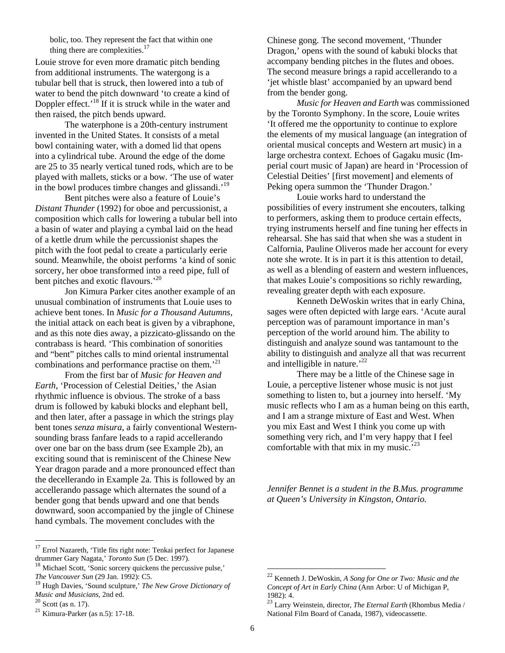bolic, too. They represent the fact that within one thing there are complexities. $17$ 

Louie strove for even more dramatic pitch bending from additional instruments. The watergong is a tubular bell that is struck, then lowered into a tub of water to bend the pitch downward 'to create a kind of Doppler effect.'<sup>18</sup> If it is struck while in the water and then raised, the pitch bends upward.

The waterphone is a 20th-century instrument invented in the United States. It consists of a metal bowl containing water, with a domed lid that opens into a cylindrical tube. Around the edge of the dome are 25 to 35 nearly vertical tuned rods, which are to be played with mallets, sticks or a bow. 'The use of water in the bowl produces timbre changes and glissandi.<sup>'19</sup>

Bent pitches were also a feature of Louie's *Distant Thunder* (1992) for oboe and percussionist, a composition which calls for lowering a tubular bell into a basin of water and playing a cymbal laid on the head of a kettle drum while the percussionist shapes the pitch with the foot pedal to create a particularly eerie sound. Meanwhile, the oboist performs 'a kind of sonic sorcery, her oboe transformed into a reed pipe, full of bent pitches and exotic flavours.'<sup>20</sup>

Jon Kimura Parker cites another example of an unusual combination of instruments that Louie uses to achieve bent tones. In *Music for a Thousand Autumns*, the initial attack on each beat is given by a vibraphone, and as this note dies away, a pizzicato-glissando on the contrabass is heard. 'This combination of sonorities and "bent" pitches calls to mind oriental instrumental combinations and performance practise on them.<sup>'21</sup>

From the first bar of *Music for Heaven and Earth*, 'Procession of Celestial Deities,' the Asian rhythmic influence is obvious. The stroke of a bass drum is followed by kabuki blocks and elephant bell, and then later, after a passage in which the strings play bent tones *senza misura*, a fairly conventional Westernsounding brass fanfare leads to a rapid accellerando over one bar on the bass drum (see Example 2b), an exciting sound that is reminiscent of the Chinese New Year dragon parade and a more pronounced effect than the decellerando in Example 2a. This is followed by an accellerando passage which alternates the sound of a bender gong that bends upward and one that bends downward, soon accompanied by the jingle of Chinese hand cymbals. The movement concludes with the

 $\overline{a}$ 

Chinese gong. The second movement, 'Thunder Dragon,' opens with the sound of kabuki blocks that accompany bending pitches in the flutes and oboes. The second measure brings a rapid accellerando to a 'jet whistle blast' accompanied by an upward bend from the bender gong.

*Music for Heaven and Earth* was commissioned by the Toronto Symphony. In the score, Louie writes 'It offered me the opportunity to continue to explore the elements of my musical language (an integration of oriental musical concepts and Western art music) in a large orchestra context. Echoes of Gagaku music (Imperial court music of Japan) are heard in 'Procession of Celestial Deities' [first movement] and elements of Peking opera summon the 'Thunder Dragon.'

Louie works hard to understand the possibilities of every instrument she encouters, talking to performers, asking them to produce certain effects, trying instruments herself and fine tuning her effects in rehearsal. She has said that when she was a student in Calfornia, Pauline Oliveros made her account for every note she wrote. It is in part it is this attention to detail, as well as a blending of eastern and western influences, that makes Louie's compositions so richly rewarding, revealing greater depth with each exposure.

Kenneth DeWoskin writes that in early China, sages were often depicted with large ears. 'Acute aural perception was of paramount importance in man's perception of the world around him. The ability to distinguish and analyze sound was tantamount to the ability to distinguish and analyze all that was recurrent and intelligible in nature.<sup>'22</sup>

There may be a little of the Chinese sage in Louie, a perceptive listener whose music is not just something to listen to, but a journey into herself. 'My music reflects who I am as a human being on this earth, and I am a strange mixture of East and West. When you mix East and West I think you come up with something very rich, and I'm very happy that I feel comfortable with that mix in my music.<sup>'23</sup>

*Jennifer Bennet is a student in the B.Mus. programme at Queen's University in Kingston, Ontario.* 

<sup>&</sup>lt;sup>17</sup> Errol Nazareth, 'Title fits right note: Tenkai perfect for Japanese drummer Gary Nagata,' *Toronto Sun* (5 Dec. 1997).<br><sup>18</sup> Michael Scott, 'Sonic sorcery quickens the percussive pulse,'

*The Vancouver Sun* (29 Jan. 1992): C5.

<sup>19</sup> Hugh Davies, 'Sound sculpture,' *The New Grove Dictionary of Music and Musicians*, 2nd ed.<br><sup>20</sup> Scott (as n. 17).<br><sup>21</sup> Kimura-Parker (as n.5): 17-18.

<sup>22</sup> Kenneth J. DeWoskin, *A Song for One or Two: Music and the Concept of Art in Early China* (Ann Arbor: U of Michigan P, 1982): 4.

<sup>23</sup> Larry Weinstein, director, *The Eternal Earth* (Rhombus Media / National Film Board of Canada, 1987), videocassette.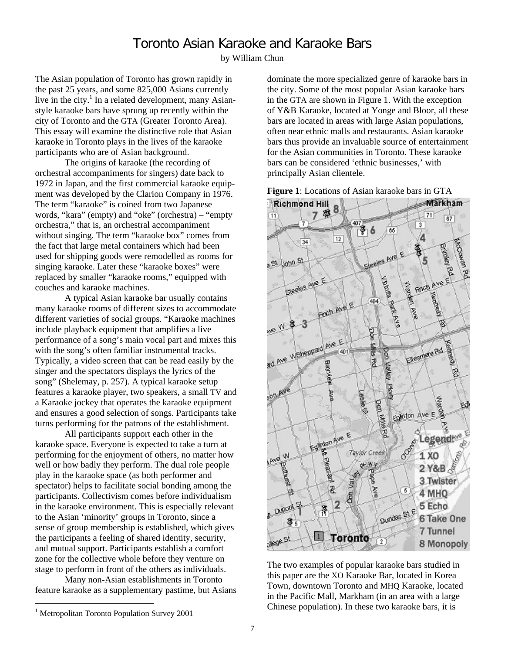## Toronto Asian Karaoke and Karaoke Bars

by William Chun

The Asian population of Toronto has grown rapidly in the past 25 years, and some 825,000 Asians currently live in the city.<sup>1</sup> In a related development, many Asianstyle karaoke bars have sprung up recently within the city of Toronto and the GTA (Greater Toronto Area). This essay will examine the distinctive role that Asian karaoke in Toronto plays in the lives of the karaoke participants who are of Asian background.

The origins of karaoke (the recording of orchestral accompaniments for singers) date back to 1972 in Japan, and the first commercial karaoke equipment was developed by the Clarion Company in 1976. The term "karaoke" is coined from two Japanese words, "kara" (empty) and "oke" (orchestra) – "empty orchestra," that is, an orchestral accompaniment without singing. The term "karaoke box" comes from the fact that large metal containers which had been used for shipping goods were remodelled as rooms for singing karaoke. Later these "karaoke boxes" were replaced by smaller "karaoke rooms," equipped with couches and karaoke machines.

A typical Asian karaoke bar usually contains many karaoke rooms of different sizes to accommodate different varieties of social groups. "Karaoke machines include playback equipment that amplifies a live performance of a song's main vocal part and mixes this with the song's often familiar instrumental tracks. Typically, a video screen that can be read easily by the singer and the spectators displays the lyrics of the song" (Shelemay, p. 257). A typical karaoke setup features a karaoke player, two speakers, a small TV and a Karaoke jockey that operates the karaoke equipment and ensures a good selection of songs. Participants take turns performing for the patrons of the establishment.

All participants support each other in the karaoke space. Everyone is expected to take a turn at performing for the enjoyment of others, no matter how well or how badly they perform. The dual role people play in the karaoke space (as both performer and spectator) helps to facilitate social bonding among the participants. Collectivism comes before individualism in the karaoke environment. This is especially relevant to the Asian 'minority' groups in Toronto, since a sense of group membership is established, which gives the participants a feeling of shared identity, security, and mutual support. Participants establish a comfort zone for the collective whole before they venture on stage to perform in front of the others as individuals.

Many non-Asian establishments in Toronto feature karaoke as a supplementary pastime, but Asians dominate the more specialized genre of karaoke bars in the city. Some of the most popular Asian karaoke bars in the GTA are shown in Figure 1. With the exception of Y&B Karaoke, located at Yonge and Bloor, all these bars are located in areas with large Asian populations, often near ethnic malls and restaurants. Asian karaoke bars thus provide an invaluable source of entertainment for the Asian communities in Toronto. These karaoke bars can be considered 'ethnic businesses,' with principally Asian clientele.





The two examples of popular karaoke bars studied in this paper are the XO Karaoke Bar, located in Korea Town, downtown Toronto and MHQ Karaoke, located in the Pacific Mall, Markham (in an area with a large Chinese population). In these two karaoke bars, it is

<sup>&</sup>lt;sup>1</sup> Metropolitan Toronto Population Survey 2001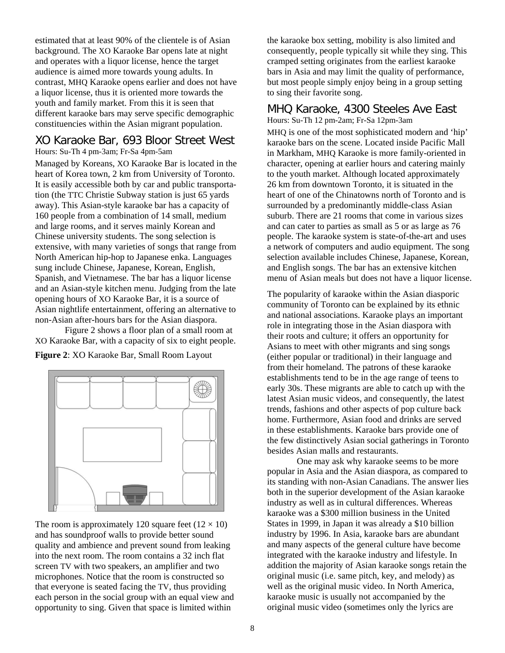estimated that at least 90% of the clientele is of Asian background. The XO Karaoke Bar opens late at night and operates with a liquor license, hence the target audience is aimed more towards young adults. In contrast, MHQ Karaoke opens earlier and does not have a liquor license, thus it is oriented more towards the youth and family market. From this it is seen that different karaoke bars may serve specific demographic constituencies within the Asian migrant population.

# XO Karaoke Bar, 693 Bloor Street West

Hours: Su-Th 4 pm-3am; Fr-Sa 4pm-5am

Managed by Koreans, XO Karaoke Bar is located in the heart of Korea town, 2 km from University of Toronto. It is easily accessible both by car and public transportation (the TTC Christie Subway station is just 65 yards away). This Asian-style karaoke bar has a capacity of 160 people from a combination of 14 small, medium and large rooms, and it serves mainly Korean and Chinese university students. The song selection is extensive, with many varieties of songs that range from North American hip-hop to Japanese enka. Languages sung include Chinese, Japanese, Korean, English, Spanish, and Vietnamese. The bar has a liquor license and an Asian-style kitchen menu. Judging from the late opening hours of XO Karaoke Bar, it is a source of Asian nightlife entertainment, offering an alternative to non-Asian after-hours bars for the Asian diaspora.

Figure 2 shows a floor plan of a small room at XO Karaoke Bar, with a capacity of six to eight people.

**Figure 2**: XO Karaoke Bar, Small Room Layout



The room is approximately 120 square feet  $(12 \times 10)$ and has soundproof walls to provide better sound quality and ambience and prevent sound from leaking into the next room. The room contains a 32 inch flat screen TV with two speakers, an amplifier and two microphones. Notice that the room is constructed so that everyone is seated facing the TV, thus providing each person in the social group with an equal view and opportunity to sing. Given that space is limited within

the karaoke box setting, mobility is also limited and consequently, people typically sit while they sing. This cramped setting originates from the earliest karaoke bars in Asia and may limit the quality of performance, but most people simply enjoy being in a group setting to sing their favorite song.

#### MHQ Karaoke, 4300 Steeles Ave East Hours: Su-Th 12 pm-2am; Fr-Sa 12pm-3am

MHQ is one of the most sophisticated modern and 'hip' karaoke bars on the scene. Located inside Pacific Mall in Markham, MHQ Karaoke is more family-oriented in character, opening at earlier hours and catering mainly to the youth market. Although located approximately 26 km from downtown Toronto, it is situated in the heart of one of the Chinatowns north of Toronto and is surrounded by a predominantly middle-class Asian suburb. There are 21 rooms that come in various sizes and can cater to parties as small as 5 or as large as 76 people. The karaoke system is state-of-the-art and uses a network of computers and audio equipment. The song selection available includes Chinese, Japanese, Korean, and English songs. The bar has an extensive kitchen menu of Asian meals but does not have a liquor license.

The popularity of karaoke within the Asian diasporic community of Toronto can be explained by its ethnic and national associations. Karaoke plays an important role in integrating those in the Asian diaspora with their roots and culture; it offers an opportunity for Asians to meet with other migrants and sing songs (either popular or traditional) in their language and from their homeland. The patrons of these karaoke establishments tend to be in the age range of teens to early 30s. These migrants are able to catch up with the latest Asian music videos, and consequently, the latest trends, fashions and other aspects of pop culture back home. Furthermore, Asian food and drinks are served in these establishments. Karaoke bars provide one of the few distinctively Asian social gatherings in Toronto besides Asian malls and restaurants.

One may ask why karaoke seems to be more popular in Asia and the Asian diaspora, as compared to its standing with non-Asian Canadians. The answer lies both in the superior development of the Asian karaoke industry as well as in cultural differences. Whereas karaoke was a \$300 million business in the United States in 1999, in Japan it was already a \$10 billion industry by 1996. In Asia, karaoke bars are abundant and many aspects of the general culture have become integrated with the karaoke industry and lifestyle. In addition the majority of Asian karaoke songs retain the original music (i.e. same pitch, key, and melody) as well as the original music video. In North America, karaoke music is usually not accompanied by the original music video (sometimes only the lyrics are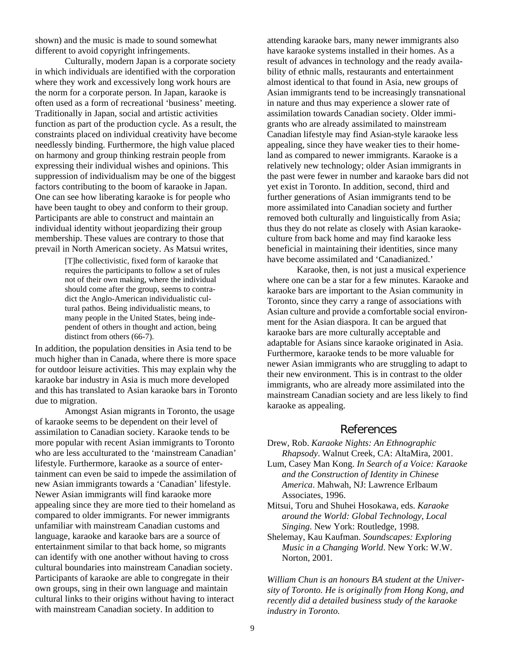shown) and the music is made to sound somewhat different to avoid copyright infringements.

Culturally, modern Japan is a corporate society in which individuals are identified with the corporation where they work and excessively long work hours are the norm for a corporate person. In Japan, karaoke is often used as a form of recreational 'business' meeting. Traditionally in Japan, social and artistic activities function as part of the production cycle. As a result, the constraints placed on individual creativity have become needlessly binding. Furthermore, the high value placed on harmony and group thinking restrain people from expressing their individual wishes and opinions. This suppression of individualism may be one of the biggest factors contributing to the boom of karaoke in Japan. One can see how liberating karaoke is for people who have been taught to obey and conform to their group. Participants are able to construct and maintain an individual identity without jeopardizing their group membership. These values are contrary to those that prevail in North American society. As Matsui writes,

> [T]he collectivistic, fixed form of karaoke that requires the participants to follow a set of rules not of their own making, where the individual should come after the group, seems to contradict the Anglo-American individualistic cultural pathos. Being individualistic means, to many people in the United States, being independent of others in thought and action, being distinct from others (66-7).

In addition, the population densities in Asia tend to be much higher than in Canada, where there is more space for outdoor leisure activities. This may explain why the karaoke bar industry in Asia is much more developed and this has translated to Asian karaoke bars in Toronto due to migration.

Amongst Asian migrants in Toronto, the usage of karaoke seems to be dependent on their level of assimilation to Canadian society. Karaoke tends to be more popular with recent Asian immigrants to Toronto who are less acculturated to the 'mainstream Canadian' lifestyle. Furthermore, karaoke as a source of entertainment can even be said to impede the assimilation of new Asian immigrants towards a 'Canadian' lifestyle. Newer Asian immigrants will find karaoke more appealing since they are more tied to their homeland as compared to older immigrants. For newer immigrants unfamiliar with mainstream Canadian customs and language, karaoke and karaoke bars are a source of entertainment similar to that back home, so migrants can identify with one another without having to cross cultural boundaries into mainstream Canadian society. Participants of karaoke are able to congregate in their own groups, sing in their own language and maintain cultural links to their origins without having to interact with mainstream Canadian society. In addition to

attending karaoke bars, many newer immigrants also have karaoke systems installed in their homes. As a result of advances in technology and the ready availability of ethnic malls, restaurants and entertainment almost identical to that found in Asia, new groups of Asian immigrants tend to be increasingly transnational in nature and thus may experience a slower rate of assimilation towards Canadian society. Older immigrants who are already assimilated to mainstream Canadian lifestyle may find Asian-style karaoke less appealing, since they have weaker ties to their homeland as compared to newer immigrants. Karaoke is a relatively new technology; older Asian immigrants in the past were fewer in number and karaoke bars did not yet exist in Toronto. In addition, second, third and further generations of Asian immigrants tend to be more assimilated into Canadian society and further removed both culturally and linguistically from Asia; thus they do not relate as closely with Asian karaokeculture from back home and may find karaoke less beneficial in maintaining their identities, since many have become assimilated and 'Canadianized.'

Karaoke, then, is not just a musical experience where one can be a star for a few minutes. Karaoke and karaoke bars are important to the Asian community in Toronto, since they carry a range of associations with Asian culture and provide a comfortable social environment for the Asian diaspora. It can be argued that karaoke bars are more culturally acceptable and adaptable for Asians since karaoke originated in Asia. Furthermore, karaoke tends to be more valuable for newer Asian immigrants who are struggling to adapt to their new environment. This is in contrast to the older immigrants, who are already more assimilated into the mainstream Canadian society and are less likely to find karaoke as appealing.

### References

- Drew, Rob. *Karaoke Nights: An Ethnographic Rhapsody*. Walnut Creek, CA: AltaMira, 2001.
- Lum, Casey Man Kong. *In Search of a Voice: Karaoke and the Construction of Identity in Chinese America*. Mahwah, NJ: Lawrence Erlbaum Associates, 1996.
- Mitsui, Toru and Shuhei Hosokawa, eds. *Karaoke around the World: Global Technology, Local Singing*. New York: Routledge, 1998.
- Shelemay, Kau Kaufman. *Soundscapes: Exploring Music in a Changing World*. New York: W.W. Norton, 2001.

*William Chun is an honours BA student at the University of Toronto. He is originally from Hong Kong, and recently did a detailed business study of the karaoke industry in Toronto.*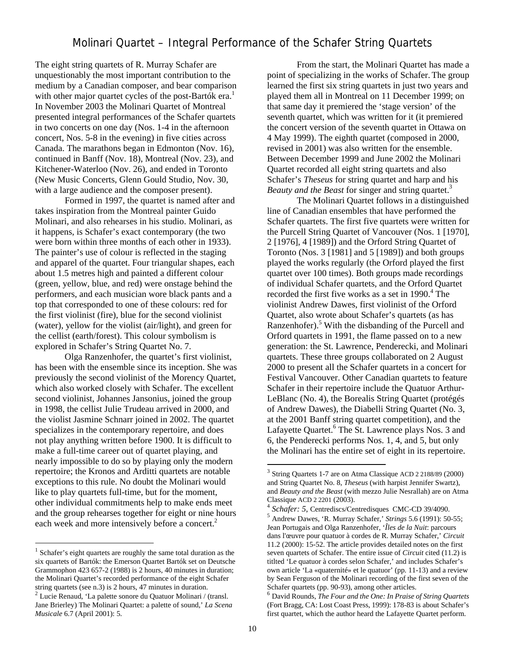## Molinari Quartet – Integral Performance of the Schafer String Quartets

The eight string quartets of R. Murray Schafer are unquestionably the most important contribution to the medium by a Canadian composer, and bear comparison with other major quartet cycles of the post-Bartók era.<sup>1</sup> In November 2003 the Molinari Quartet of Montreal presented integral performances of the Schafer quartets in two concerts on one day (Nos. 1-4 in the afternoon concert, Nos. 5-8 in the evening) in five cities across Canada. The marathons began in Edmonton (Nov. 16), continued in Banff (Nov. 18), Montreal (Nov. 23), and Kitchener-Waterloo (Nov. 26), and ended in Toronto (New Music Concerts, Glenn Gould Studio, Nov. 30, with a large audience and the composer present).

Formed in 1997, the quartet is named after and takes inspiration from the Montreal painter Guido Molinari, and also rehearses in his studio. Molinari, as it happens, is Schafer's exact contemporary (the two were born within three months of each other in 1933). The painter's use of colour is reflected in the staging and apparel of the quartet. Four triangular shapes, each about 1.5 metres high and painted a different colour (green, yellow, blue, and red) were onstage behind the performers, and each musician wore black pants and a top that corresponded to one of these colours: red for the first violinist (fire), blue for the second violinist (water), yellow for the violist (air/light), and green for the cellist (earth/forest). This colour symbolism is explored in Schafer's String Quartet No. 7.

Olga Ranzenhofer, the quartet's first violinist, has been with the ensemble since its inception. She was previously the second violinist of the Morency Quartet, which also worked closely with Schafer. The excellent second violinist, Johannes Jansonius, joined the group in 1998, the cellist Julie Trudeau arrived in 2000, and the violist Jasmine Schnarr joined in 2002. The quartet specializes in the contemporary repertoire, and does not play anything written before 1900. It is difficult to make a full-time career out of quartet playing, and nearly impossible to do so by playing only the modern repertoire; the Kronos and Arditti quartets are notable exceptions to this rule. No doubt the Molinari would like to play quartets full-time, but for the moment, other individual commitments help to make ends meet and the group rehearses together for eight or nine hours each week and more intensively before a concert.<sup>2</sup>

 $\overline{a}$ 

From the start, the Molinari Quartet has made a point of specializing in the works of Schafer. The group learned the first six string quartets in just two years and played them all in Montreal on 11 December 1999; on that same day it premiered the 'stage version' of the seventh quartet, which was written for it (it premiered the concert version of the seventh quartet in Ottawa on 4 May 1999). The eighth quartet (composed in 2000, revised in 2001) was also written for the ensemble. Between December 1999 and June 2002 the Molinari Quartet recorded all eight string quartets and also Schafer's *Theseus* for string quartet and harp and his *Beauty and the Beast* for singer and string quartet.3

 The Molinari Quartet follows in a distinguished line of Canadian ensembles that have performed the Schafer quartets. The first five quartets were written for the Purcell String Quartet of Vancouver (Nos. 1 [1970], 2 [1976], 4 [1989]) and the Orford String Quartet of Toronto (Nos. 3 [1981] and 5 [1989]) and both groups played the works regularly (the Orford played the first quartet over 100 times). Both groups made recordings of individual Schafer quartets, and the Orford Quartet recorded the first five works as a set in 1990.<sup>4</sup> The violinist Andrew Dawes, first violinist of the Orford Quartet, also wrote about Schafer's quartets (as has Ranzenhofer).<sup>5</sup> With the disbanding of the Purcell and Orford quartets in 1991, the flame passed on to a new generation: the St. Lawrence, Penderecki, and Molinari quartets. These three groups collaborated on 2 August 2000 to present all the Schafer quartets in a concert for Festival Vancouver. Other Canadian quartets to feature Schafer in their repertoire include the Quatuor Arthur-LeBlanc (No. 4), the Borealis String Quartet (protégés of Andrew Dawes), the Diabelli String Quartet (No. 3, at the 2001 Banff string quartet competition), and the Lafayette Quartet.<sup>6</sup> The St. Lawrence plays Nos. 3 and 6, the Penderecki performs Nos. 1, 4, and 5, but only the Molinari has the entire set of eight in its repertoire.

 $1$  Schafer's eight quartets are roughly the same total duration as the six quartets of Bartók: the Emerson Quartet Bartók set on Deutsche Grammophon 423 657-2 (1988) is 2 hours, 40 minutes in duration; the Molinari Quartet's recorded performance of the eight Schafer string quartets (see n.3) is 2 hours, 47 minutes in duration.

 $2$  Lucie Renaud, 'La palette sonore du Quatuor Molinari / (transl. Jane Brierley) The Molinari Quartet: a palette of sound,' *La Scena Musicale* 6.7 (April 2001): 5.

<sup>3</sup> String Quartets 1-7 are on Atma Classique ACD 2 2188/89 (2000) and String Quartet No. 8, *Theseus* (with harpist Jennifer Swartz), and *Beauty and the Beast* (with mezzo Julie Nesrallah) are on Atma

Classique ACD 2 2201 (2003). <sup>4</sup> *Schafer: 5*, Centrediscs/Centredisques CMC-CD 39/4090. <sup>5</sup> Andrew Dawes, 'R. Murray Schafer,' *Strings* 5.6 (1991): 50-55; Jean Portugais and Olga Ranzenhofer, '*Îles de la Nuit*: parcours dans l'œuvre pour quatuor à cordes de R. Murray Schafer,' *Circuit* 11.2 (2000): 15-52. The article provides detailed notes on the first seven quartets of Schafer. The entire issue of *Circuit* cited (11.2) is titlted 'Le quatuor à cordes selon Schafer,' and includes Schafer's own article 'La «quaternité» et le quatuor' (pp. 11-13) and a review by Sean Ferguson of the Molinari recording of the first seven of the Schafer quartets (pp. 90-93), among other articles. <sup>6</sup> David Rounds, *The Four and the One: In Praise of String Quartets*

<sup>(</sup>Fort Bragg, CA: Lost Coast Press, 1999): 178-83 is about Schafer's first quartet, which the author heard the Lafayette Quartet perform.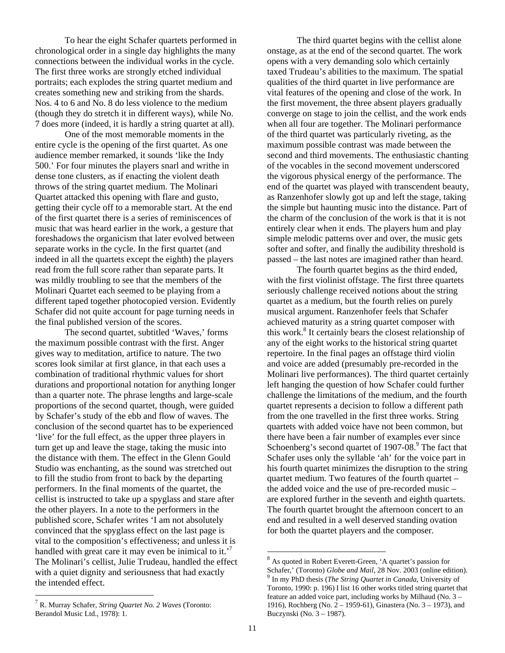To hear the eight Schafer quartets performed in chronological order in a single day highlights the many connections between the individual works in the cycle. The first three works are strongly etched individual portraits; each explodes the string quartet medium and creates something new and striking from the shards. Nos. 4 to 6 and No. 8 do less violence to the medium (though they do stretch it in different ways), while No. 7 does more (indeed, it is hardly a string quartet at all).

One of the most memorable moments in the entire cycle is the opening of the first quartet. As one audience member remarked, it sounds 'like the Indy 500.' For four minutes the players snarl and writhe in dense tone clusters, as if enacting the violent death throws of the string quartet medium. The Molinari Quartet attacked this opening with flare and gusto, getting their cycle off to a memorable start. At the end of the first quartet there is a series of reminiscences of music that was heard earlier in the work, a gesture that foreshadows the organicism that later evolved between separate works in the cycle. In the first quartet (and indeed in all the quartets except the eighth) the players read from the full score rather than separate parts. It was mildly troubling to see that the members of the Molinari Quartet each seemed to be playing from a different taped together photocopied version. Evidently Schafer did not quite account for page turning needs in the final published version of the scores.

The second quartet, subtitled 'Waves,' forms the maximum possible contrast with the first. Anger gives way to meditation, artifice to nature. The two scores look similar at first glance, in that each uses a combination of traditional rhythmic values for short durations and proportional notation for anything longer than a quarter note. The phrase lengths and large-scale proportions of the second quartet, though, were guided by Schafer's study of the ebb and flow of waves. The conclusion of the second quartet has to be experienced 'live' for the full effect, as the upper three players in turn get up and leave the stage, taking the music into the distance with them. The effect in the Glenn Gould Studio was enchanting, as the sound was stretched out to fill the studio from front to back by the departing performers. In the final moments of the quartet, the cellist is instructed to take up a spyglass and stare after the other players. In a note to the performers in the published score, Schafer writes 'I am not absolutely convinced that the spyglass effect on the last page is vital to the composition's effectiveness; and unless it is handled with great care it may even be inimical to it.<sup>7</sup> The Molinari's cellist, Julie Trudeau, handled the effect with a quiet dignity and seriousness that had exactly the intended effect.

<sup>7</sup> R. Murray Schafer, *String Quartet No. 2 Waves* (Toronto: Berandol Music Ltd., 1978): 1.

 $\overline{a}$ 

The third quartet begins with the cellist alone onstage, as at the end of the second quartet. The work opens with a very demanding solo which certainly taxed Trudeau's abilities to the maximum. The spatial qualities of the third quartet in live performance are vital features of the opening and close of the work. In the first movement, the three absent players gradually converge on stage to join the cellist, and the work ends when all four are together. The Molinari performance of the third quartet was particularly riveting, as the maximum possible contrast was made between the second and third movements. The enthusiastic chanting of the vocables in the second movement underscored the vigorous physical energy of the performance. The end of the quartet was played with transcendent beauty, as Ranzenhofer slowly got up and left the stage, taking the simple but haunting music into the distance. Part of the charm of the conclusion of the work is that it is not entirely clear when it ends. The players hum and play simple melodic patterns over and over, the music gets softer and softer, and finally the audibility threshold is passed – the last notes are imagined rather than heard.

The fourth quartet begins as the third ended, with the first violinist offstage. The first three quartets seriously challenge received notions about the string quartet as a medium, but the fourth relies on purely musical argument. Ranzenhofer feels that Schafer achieved maturity as a string quartet composer with this work.8 It certainly bears the closest relationship of any of the eight works to the historical string quartet repertoire. In the final pages an offstage third violin and voice are added (presumably pre-recorded in the Molinari live performances). The third quartet certainly left hanging the question of how Schafer could further challenge the limitations of the medium, and the fourth quartet represents a decision to follow a different path from the one travelled in the first three works. String quartets with added voice have not been common, but there have been a fair number of examples ever since Schoenberg's second quartet of 1907-08.<sup>9</sup> The fact that Schafer uses only the syllable 'ah' for the voice part in his fourth quartet minimizes the disruption to the string quartet medium. Two features of the fourth quartet – the added voice and the use of pre-recorded music – are explored further in the seventh and eighth quartets. The fourth quartet brought the afternoon concert to an end and resulted in a well deserved standing ovation for both the quartet players and the composer.

<sup>8</sup> As quoted in Robert Everett-Green, 'A quartet's passion for Schafer,' (Toronto) *Globe and Mail*, 28 Nov. 2003 (online edition). 9 In my PhD thesis (*The String Quartet in Canada*, University of Toronto, 1990: p. 196) I list 16 other works titled string quartet that feature an added voice part, including works by Milhaud (No. 3 – 1916), Rochberg (No. 2 – 1959-61), Ginastera (No. 3 – 1973), and Buczynski (No. 3 – 1987).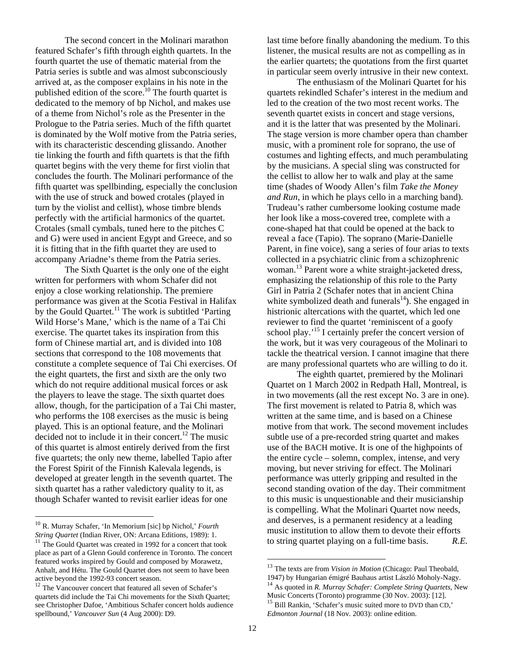The second concert in the Molinari marathon featured Schafer's fifth through eighth quartets. In the fourth quartet the use of thematic material from the Patria series is subtle and was almost subconsciously arrived at, as the composer explains in his note in the published edition of the score.<sup>10</sup> The fourth quartet is dedicated to the memory of bp Nichol, and makes use of a theme from Nichol's role as the Presenter in the Prologue to the Patria series. Much of the fifth quartet is dominated by the Wolf motive from the Patria series, with its characteristic descending glissando. Another tie linking the fourth and fifth quartets is that the fifth quartet begins with the very theme for first violin that concludes the fourth. The Molinari performance of the fifth quartet was spellbinding, especially the conclusion with the use of struck and bowed crotales (played in turn by the violist and cellist), whose timbre blends perfectly with the artificial harmonics of the quartet. Crotales (small cymbals, tuned here to the pitches C and G) were used in ancient Egypt and Greece, and so it is fitting that in the fifth quartet they are used to accompany Ariadne's theme from the Patria series.

The Sixth Quartet is the only one of the eight written for performers with whom Schafer did not enjoy a close working relationship. The premiere performance was given at the Scotia Festival in Halifax by the Gould Quartet.<sup>11</sup> The work is subtitled 'Parting' Wild Horse's Mane,' which is the name of a Tai Chi exercise. The quartet takes its inspiration from this form of Chinese martial art, and is divided into 108 sections that correspond to the 108 movements that constitute a complete sequence of Tai Chi exercises. Of the eight quartets, the first and sixth are the only two which do not require additional musical forces or ask the players to leave the stage. The sixth quartet does allow, though, for the participation of a Tai Chi master, who performs the 108 exercises as the music is being played. This is an optional feature, and the Molinari decided not to include it in their concert. $^{12}$  The music of this quartet is almost entirely derived from the first five quartets; the only new theme, labelled Tapio after the Forest Spirit of the Finnish Kalevala legends, is developed at greater length in the seventh quartet. The sixth quartet has a rather valedictory quality to it, as though Schafer wanted to revisit earlier ideas for one

 $\overline{a}$ 

last time before finally abandoning the medium. To this listener, the musical results are not as compelling as in the earlier quartets; the quotations from the first quartet in particular seem overly intrusive in their new context.

The enthusiasm of the Molinari Quartet for his quartets rekindled Schafer's interest in the medium and led to the creation of the two most recent works. The seventh quartet exists in concert and stage versions, and it is the latter that was presented by the Molinari. The stage version is more chamber opera than chamber music, with a prominent role for soprano, the use of costumes and lighting effects, and much perambulating by the musicians. A special sling was constructed for the cellist to allow her to walk and play at the same time (shades of Woody Allen's film *Take the Money and Run*, in which he plays cello in a marching band). Trudeau's rather cumbersome looking costume made her look like a moss-covered tree, complete with a cone-shaped hat that could be opened at the back to reveal a face (Tapio). The soprano (Marie-Danielle Parent, in fine voice), sang a series of four arias to texts collected in a psychiatric clinic from a schizophrenic woman.<sup>13</sup> Parent wore a white straight-jacketed dress, emphasizing the relationship of this role to the Party Girl in Patria 2 (Schafer notes that in ancient China white symbolized death and funerals $14$ ). She engaged in histrionic altercations with the quartet, which led one reviewer to find the quartet 'reminiscent of a goofy school play.'<sup>15</sup> I certainly prefer the concert version of the work, but it was very courageous of the Molinari to tackle the theatrical version. I cannot imagine that there are many professional quartets who are willing to do it.

The eighth quartet, premiered by the Molinari Quartet on 1 March 2002 in Redpath Hall, Montreal, is in two movements (all the rest except No. 3 are in one). The first movement is related to Patria 8, which was written at the same time, and is based on a Chinese motive from that work. The second movement includes subtle use of a pre-recorded string quartet and makes use of the BACH motive. It is one of the highpoints of the entire cycle – solemn, complex, intense, and very moving, but never striving for effect. The Molinari performance was utterly gripping and resulted in the second standing ovation of the day. Their commitment to this music is unquestionable and their musicianship is compelling. What the Molinari Quartet now needs, and deserves, is a permanent residency at a leading music institution to allow them to devote their efforts to string quartet playing on a full-time basis. *R.E.* 

<sup>&</sup>lt;sup>10</sup> R. Murray Schafer, 'In Memorium [sic] bp Nichol,' *Fourth String Quartet* (Indian River, ON: Arcana Editions, 1989): 1.

<sup>&</sup>lt;sup>11</sup> The Gould Quartet was created in 1992 for a concert that took place as part of a Glenn Gould conference in Toronto. The concert featured works inspired by Gould and composed by Morawetz, Anhalt, and Hétu. The Gould Quartet does not seem to have been active beyond the 1992-93 concert season.<br><sup>12</sup> The Vancouver concert that featured all seven of Schafer's

quartets did include the Tai Chi movements for the Sixth Quartet; see Christopher Dafoe, 'Ambitious Schafer concert holds audience spellbound,' *Vancouver Sun* (4 Aug 2000): D9.

<sup>13</sup> The texts are from *Vision in Motion* (Chicago: Paul Theobald, 1947) by Hungarian émigré Bauhaus artist László Moholy-Nagy. 14 As quoted in *R. Murray Schafer: Complete String Quartets*, New

 $15$  Bill Rankin, 'Schafer's music suited more to DVD than CD,' *Edmonton Journal* (18 Nov. 2003): online edition.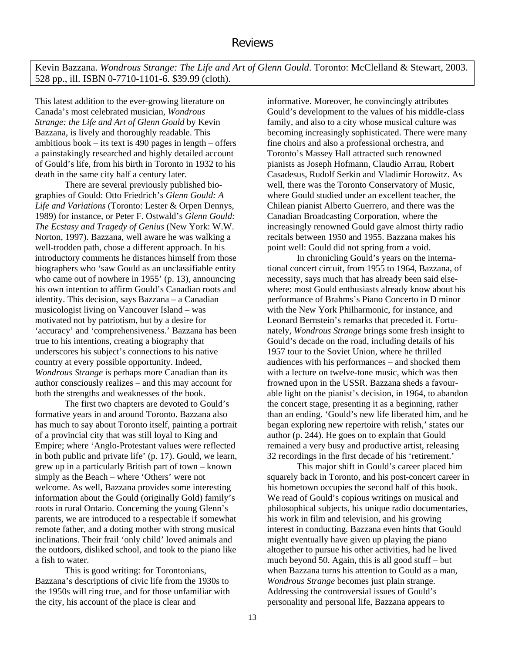Kevin Bazzana. *Wondrous Strange: The Life and Art of Glenn Gould*. Toronto: McClelland & Stewart, 2003. 528 pp., ill. ISBN 0-7710-1101-6. \$39.99 (cloth).

This latest addition to the ever-growing literature on Canada's most celebrated musician, *Wondrous Strange: the Life and Art of Glenn Gould* by Kevin Bazzana, is lively and thoroughly readable. This ambitious book – its text is 490 pages in length – offers a painstakingly researched and highly detailed account of Gould's life, from his birth in Toronto in 1932 to his death in the same city half a century later.

There are several previously published biographies of Gould: Otto Friedrich's *Glenn Gould: A Life and Variations* (Toronto: Lester & Orpen Dennys, 1989) for instance, or Peter F. Ostwald's *Glenn Gould: The Ecstasy and Tragedy of Genius* (New York: W.W. Norton, 1997). Bazzana, well aware he was walking a well-trodden path, chose a different approach. In his introductory comments he distances himself from those biographers who 'saw Gould as an unclassifiable entity who came out of nowhere in 1955' (p. 13), announcing his own intention to affirm Gould's Canadian roots and identity. This decision, says Bazzana – a Canadian musicologist living on Vancouver Island – was motivated not by patriotism, but by a desire for 'accuracy' and 'comprehensiveness.' Bazzana has been true to his intentions, creating a biography that underscores his subject's connections to his native country at every possible opportunity. Indeed, *Wondrous Strange* is perhaps more Canadian than its author consciously realizes – and this may account for both the strengths and weaknesses of the book.

The first two chapters are devoted to Gould's formative years in and around Toronto. Bazzana also has much to say about Toronto itself, painting a portrait of a provincial city that was still loyal to King and Empire; where 'Anglo-Protestant values were reflected in both public and private life' (p. 17). Gould, we learn, grew up in a particularly British part of town – known simply as the Beach – where 'Others' were not welcome. As well, Bazzana provides some interesting information about the Gould (originally Gold) family's roots in rural Ontario. Concerning the young Glenn's parents, we are introduced to a respectable if somewhat remote father, and a doting mother with strong musical inclinations. Their frail 'only child' loved animals and the outdoors, disliked school, and took to the piano like a fish to water.

 This is good writing: for Torontonians, Bazzana's descriptions of civic life from the 1930s to the 1950s will ring true, and for those unfamiliar with the city, his account of the place is clear and

informative. Moreover, he convincingly attributes Gould's development to the values of his middle-class family, and also to a city whose musical culture was becoming increasingly sophisticated. There were many fine choirs and also a professional orchestra, and Toronto's Massey Hall attracted such renowned pianists as Joseph Hofmann, Claudio Arrau, Robert Casadesus, Rudolf Serkin and Vladimir Horowitz. As well, there was the Toronto Conservatory of Music, where Gould studied under an excellent teacher, the Chilean pianist Alberto Guerrero, and there was the Canadian Broadcasting Corporation, where the increasingly renowned Gould gave almost thirty radio recitals between 1950 and 1955. Bazzana makes his point well: Gould did not spring from a void.

In chronicling Gould's years on the international concert circuit, from 1955 to 1964, Bazzana, of necessity, says much that has already been said elsewhere: most Gould enthusiasts already know about his performance of Brahms's Piano Concerto in D minor with the New York Philharmonic, for instance, and Leonard Bernstein's remarks that preceded it. Fortunately, *Wondrous Strange* brings some fresh insight to Gould's decade on the road, including details of his 1957 tour to the Soviet Union, where he thrilled audiences with his performances – and shocked them with a lecture on twelve-tone music, which was then frowned upon in the USSR. Bazzana sheds a favourable light on the pianist's decision, in 1964, to abandon the concert stage, presenting it as a beginning, rather than an ending. 'Gould's new life liberated him, and he began exploring new repertoire with relish,' states our author (p. 244). He goes on to explain that Gould remained a very busy and productive artist, releasing 32 recordings in the first decade of his 'retirement.'

This major shift in Gould's career placed him squarely back in Toronto, and his post-concert career in his hometown occupies the second half of this book. We read of Gould's copious writings on musical and philosophical subjects, his unique radio documentaries, his work in film and television, and his growing interest in conducting. Bazzana even hints that Gould might eventually have given up playing the piano altogether to pursue his other activities, had he lived much beyond 50. Again, this is all good stuff – but when Bazzana turns his attention to Gould as a man, *Wondrous Strange* becomes just plain strange. Addressing the controversial issues of Gould's personality and personal life, Bazzana appears to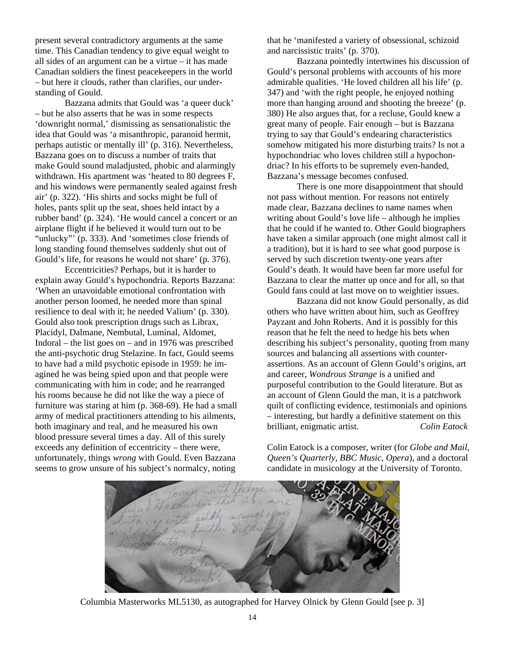present several contradictory arguments at the same time. This Canadian tendency to give equal weight to all sides of an argument can be a virtue – it has made Canadian soldiers the finest peacekeepers in the world – but here it clouds, rather than clarifies, our understanding of Gould.

Bazzana admits that Gould was 'a queer duck' – but he also asserts that he was in some respects 'downright normal,' dismissing as sensationalistic the idea that Gould was 'a misanthropic, paranoid hermit, perhaps autistic or mentally ill' (p. 316). Nevertheless, Bazzana goes on to discuss a number of traits that make Gould sound maladjusted, phobic and alarmingly withdrawn. His apartment was 'heated to 80 degrees F, and his windows were permanently sealed against fresh air' (p. 322). 'His shirts and socks might be full of holes, pants split up the seat, shoes held intact by a rubber band' (p. 324). 'He would cancel a concert or an airplane flight if he believed it would turn out to be "unlucky"' (p. 333). And 'sometimes close friends of long standing found themselves suddenly shut out of Gould's life, for reasons he would not share' (p. 376).

Eccentricities? Perhaps, but it is harder to explain away Gould's hypochondria. Reports Bazzana: 'When an unavoidable emotional confrontation with another person loomed, he needed more than spinal resilience to deal with it; he needed Valium' (p. 330). Gould also took prescription drugs such as Librax, Placidyl, Dalmane, Nembutal, Luminal, Aldomet, Indoral – the list goes on – and in 1976 was prescribed the anti-psychotic drug Stelazine. In fact, Gould seems to have had a mild psychotic episode in 1959: he imagined he was being spied upon and that people were communicating with him in code; and he rearranged his rooms because he did not like the way a piece of furniture was staring at him (p. 368-69). He had a small army of medical practitioners attending to his ailments, both imaginary and real, and he measured his own blood pressure several times a day. All of this surely exceeds any definition of eccentricity – there were, unfortunately, things *wrong* with Gould. Even Bazzana seems to grow unsure of his subject's normalcy, noting

that he 'manifested a variety of obsessional, schizoid and narcissistic traits' (p. 370).

Bazzana pointedly intertwines his discussion of Gould's personal problems with accounts of his more admirable qualities. 'He loved children all his life' (p. 347) and 'with the right people, he enjoyed nothing more than hanging around and shooting the breeze' (p. 380) He also argues that, for a recluse, Gould knew a great many of people. Fair enough – but is Bazzana trying to say that Gould's endearing characteristics somehow mitigated his more disturbing traits? Is not a hypochondriac who loves children still a hypochondriac? In his efforts to be supremely even-handed, Bazzana's message becomes confused.

There is one more disappointment that should not pass without mention. For reasons not entirely made clear, Bazzana declines to name names when writing about Gould's love life – although he implies that he could if he wanted to. Other Gould biographers have taken a similar approach (one might almost call it a tradition), but it is hard to see what good purpose is served by such discretion twenty-one years after Gould's death. It would have been far more useful for Bazzana to clear the matter up once and for all, so that Gould fans could at last move on to weightier issues.

Bazzana did not know Gould personally, as did others who have written about him, such as Geoffrey Payzant and John Roberts. And it is possibly for this reason that he felt the need to hedge his bets when describing his subject's personality, quoting from many sources and balancing all assertions with counterassertions. As an account of Glenn Gould's origins, art and career, *Wondrous Strange* is a unified and purposeful contribution to the Gould literature. But as an account of Glenn Gould the man, it is a patchwork quilt of conflicting evidence, testimonials and opinions – interesting, but hardly a definitive statement on this brilliant, enigmatic artist. *Colin Eatock*

Colin Eatock is a composer, writer (for *Globe and Mail*, *Queen's Quarterly*, *BBC Music*, *Opera*), and a doctoral candidate in musicology at the University of Toronto.



Columbia Masterworks ML5130, as autographed for Harvey Olnick by Glenn Gould [see p. 3]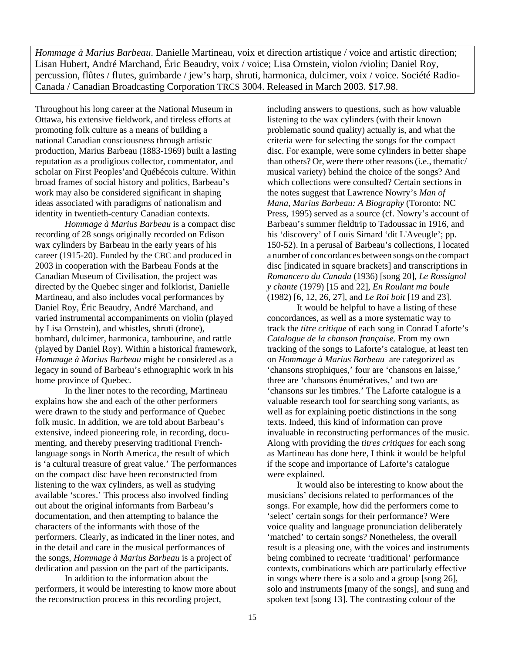*Hommage à Marius Barbeau*. Danielle Martineau, voix et direction artistique / voice and artistic direction; Lisan Hubert, André Marchand, Éric Beaudry, voix / voice; Lisa Ornstein, violon /violin; Daniel Roy, percussion, flûtes / flutes, guimbarde / jew's harp, shruti, harmonica, dulcimer, voix / voice. Société Radio-Canada / Canadian Broadcasting Corporation TRCS 3004. Released in March 2003. \$17.98.

Throughout his long career at the National Museum in Ottawa, his extensive fieldwork, and tireless efforts at promoting folk culture as a means of building a national Canadian consciousness through artistic production, Marius Barbeau (1883-1969) built a lasting reputation as a prodigious collector, commentator, and scholar on First Peoples'and Québécois culture. Within broad frames of social history and politics, Barbeau's work may also be considered significant in shaping ideas associated with paradigms of nationalism and identity in twentieth-century Canadian contexts.

*Hommage à Marius Barbeau* is a compact disc recording of 28 songs originally recorded on Edison wax cylinders by Barbeau in the early years of his career (1915-20). Funded by the CBC and produced in 2003 in cooperation with the Barbeau Fonds at the Canadian Museum of Civilisation, the project was directed by the Quebec singer and folklorist, Danielle Martineau, and also includes vocal performances by Daniel Roy, Éric Beaudry, André Marchand, and varied instrumental accompaniments on violin (played by Lisa Ornstein), and whistles, shruti (drone), bombard, dulcimer, harmonica, tambourine, and rattle (played by Daniel Roy). Within a historical framework, *Hommage à Marius Barbeau* might be considered as a legacy in sound of Barbeau's ethnographic work in his home province of Quebec.

In the liner notes to the recording, Martineau explains how she and each of the other performers were drawn to the study and performance of Quebec folk music. In addition, we are told about Barbeau's extensive, indeed pioneering role, in recording, documenting, and thereby preserving traditional Frenchlanguage songs in North America, the result of which is 'a cultural treasure of great value.' The performances on the compact disc have been reconstructed from listening to the wax cylinders, as well as studying available 'scores.' This process also involved finding out about the original informants from Barbeau's documentation, and then attempting to balance the characters of the informants with those of the performers. Clearly, as indicated in the liner notes, and in the detail and care in the musical performances of the songs, *Hommage à Marius Barbeau* is a project of dedication and passion on the part of the participants.

In addition to the information about the performers, it would be interesting to know more about the reconstruction process in this recording project,

including answers to questions, such as how valuable listening to the wax cylinders (with their known problematic sound quality) actually is, and what the criteria were for selecting the songs for the compact disc. For example, were some cylinders in better shape than others? Or, were there other reasons (i.e., thematic/ musical variety) behind the choice of the songs? And which collections were consulted? Certain sections in the notes suggest that Lawrence Nowry's *Man of Mana, Marius Barbeau: A Biography* (Toronto: NC Press, 1995) served as a source (cf. Nowry's account of Barbeau's summer fieldtrip to Tadoussac in 1916, and his 'discovery' of Louis Simard 'dit L'Aveugle'; pp. 150-52). In a perusal of Barbeau's collections, I located a number of concordances between songs on the compact disc [indicated in square brackets] and transcriptions in *Romancero du Canada* (1936) [song 20], *Le Rossignol y chante* (1979) [15 and 22], *En Roulant ma boule*  (1982) [6, 12, 26, 27], and *Le Roi boit* [19 and 23].

It would be helpful to have a listing of these concordances, as well as a more systematic way to track the *titre critique* of each song in Conrad Laforte's *Catalogue de la chanson française*. From my own tracking of the songs to Laforte's catalogue, at least ten on *Hommage à Marius Barbeau* are categorized as 'chansons strophiques,' four are 'chansons en laisse,' three are 'chansons énumératives,' and two are 'chansons sur les timbres.' The Laforte catalogue is a valuable research tool for searching song variants, as well as for explaining poetic distinctions in the song texts. Indeed, this kind of information can prove invaluable in reconstructing performances of the music. Along with providing the *titres critiques* for each song as Martineau has done here, I think it would be helpful if the scope and importance of Laforte's catalogue were explained.

It would also be interesting to know about the musicians' decisions related to performances of the songs. For example, how did the performers come to 'select' certain songs for their performance? Were voice quality and language pronunciation deliberately 'matched' to certain songs? Nonetheless, the overall result is a pleasing one, with the voices and instruments being combined to recreate 'traditional' performance contexts, combinations which are particularly effective in songs where there is a solo and a group [song 26], solo and instruments [many of the songs], and sung and spoken text [song 13]. The contrasting colour of the